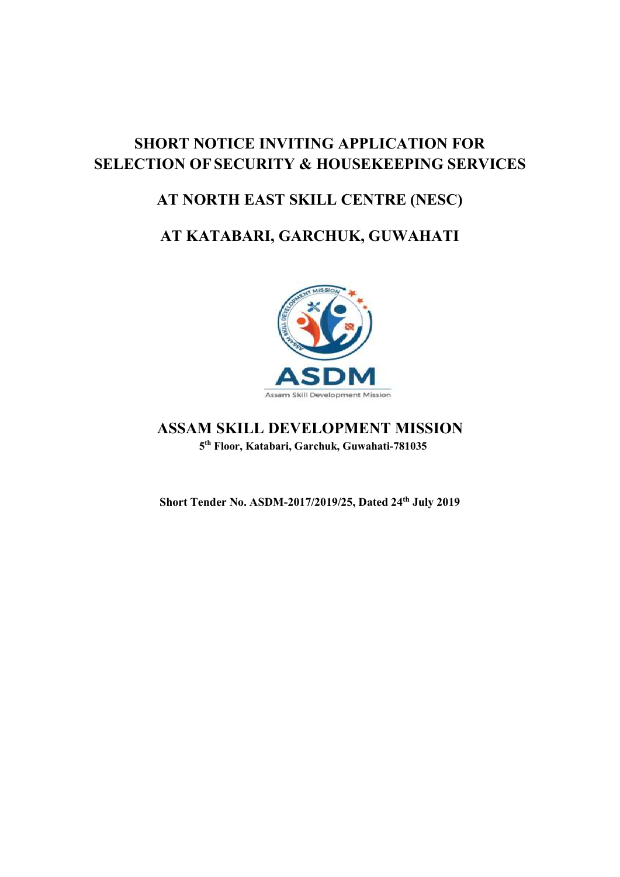# SHORT NOTICE INVITING APPLICATION FOR SELECTION OF SECURITY & HOUSEKEEPING SERVICES

# AT NORTH EAST SKILL CENTRE (NESC)

# AT KATABARI, GARCHUK, GUWAHATI



# ASSAM SKILL DEVELOPMENT MISSION 5 th Floor, Katabari, Garchuk, Guwahati-781035

Short Tender No. ASDM-2017/2019/25, Dated 24th July 2019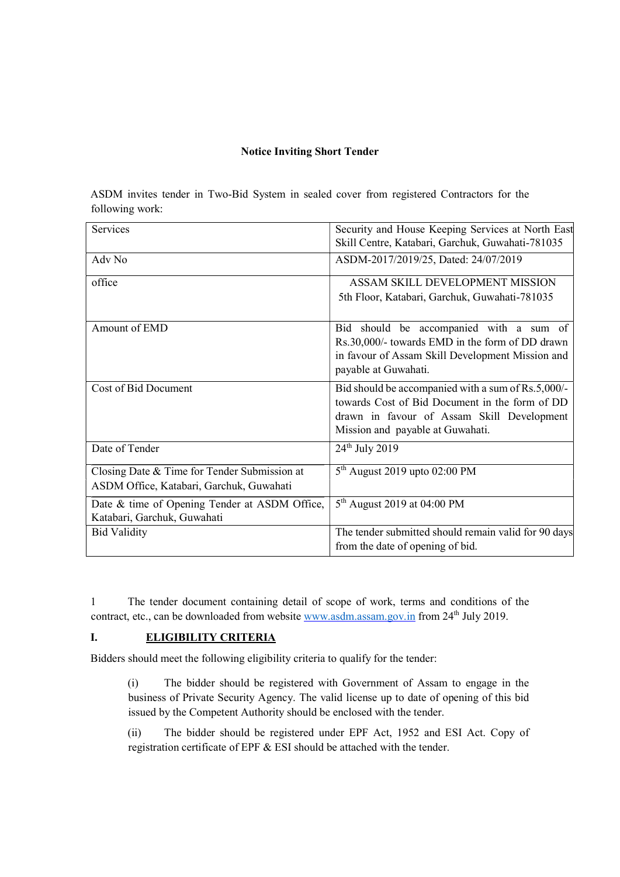#### Notice Inviting Short Tender

ASDM invites tender in Two-Bid System in sealed cover from registered Contractors for the following work:

| Services                                      | Security and House Keeping Services at North East                                                    |
|-----------------------------------------------|------------------------------------------------------------------------------------------------------|
|                                               | Skill Centre, Katabari, Garchuk, Guwahati-781035                                                     |
| Adv No                                        | ASDM-2017/2019/25, Dated: 24/07/2019                                                                 |
| office                                        | ASSAM SKILL DEVELOPMENT MISSION                                                                      |
|                                               | 5th Floor, Katabari, Garchuk, Guwahati-781035                                                        |
| Amount of EMD                                 | Bid should be accompanied with a sum of                                                              |
|                                               | Rs.30,000/- towards EMD in the form of DD drawn                                                      |
|                                               | in favour of Assam Skill Development Mission and                                                     |
|                                               | payable at Guwahati.                                                                                 |
| Cost of Bid Document                          | Bid should be accompanied with a sum of Rs.5,000/-<br>towards Cost of Bid Document in the form of DD |
|                                               | drawn in favour of Assam Skill Development                                                           |
|                                               | Mission and payable at Guwahati.                                                                     |
| Date of Tender                                | $24^{th}$ July 2019                                                                                  |
| Closing Date & Time for Tender Submission at  | $5th$ August 2019 upto 02:00 PM                                                                      |
| ASDM Office, Katabari, Garchuk, Guwahati      |                                                                                                      |
| Date & time of Opening Tender at ASDM Office, | $5th$ August 2019 at 04:00 PM                                                                        |
| Katabari, Garchuk, Guwahati                   |                                                                                                      |
| <b>Bid Validity</b>                           | The tender submitted should remain valid for 90 days                                                 |
|                                               | from the date of opening of bid.                                                                     |

1 The tender document containing detail of scope of work, terms and conditions of the contract, etc., can be downloaded from website www.asdm.assam.gov.in from 24<sup>th</sup> July 2019.

# I. ELIGIBILITY CRITERIA

Bidders should meet the following eligibility criteria to qualify for the tender:

(i) The bidder should be registered with Government of Assam to engage in the business of Private Security Agency. The valid license up to date of opening of this bid issued by the Competent Authority should be enclosed with the tender.

(ii) The bidder should be registered under EPF Act, 1952 and ESI Act. Copy of registration certificate of EPF & ESI should be attached with the tender.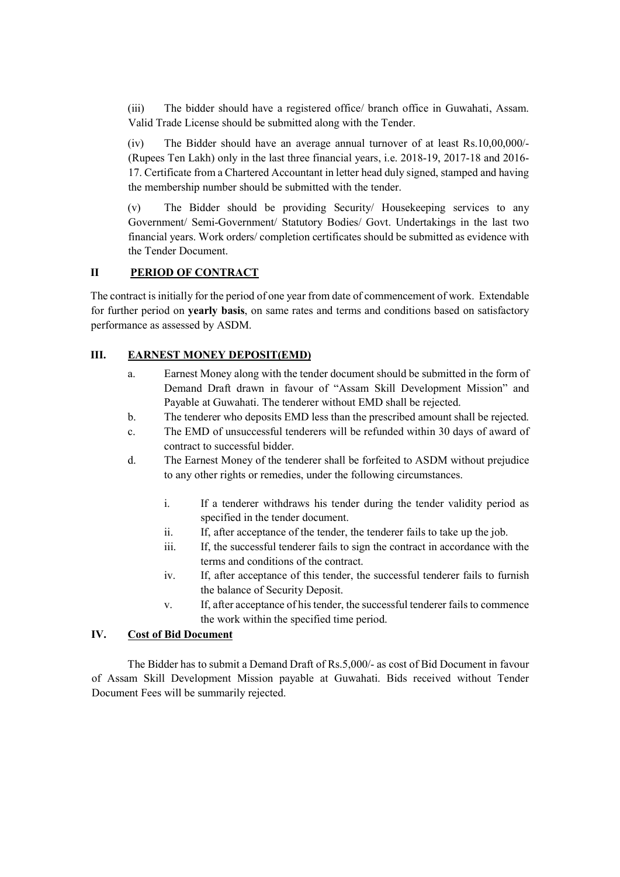(iii) The bidder should have a registered office/ branch office in Guwahati, Assam. Valid Trade License should be submitted along with the Tender.

(iv) The Bidder should have an average annual turnover of at least Rs.10,00,000/- (Rupees Ten Lakh) only in the last three financial years, i.e. 2018-19, 2017-18 and 2016- 17. Certificate from a Chartered Accountant in letter head duly signed, stamped and having the membership number should be submitted with the tender.

(v) The Bidder should be providing Security/ Housekeeping services to any Government/ Semi-Government/ Statutory Bodies/ Govt. Undertakings in the last two financial years. Work orders/ completion certificates should be submitted as evidence with the Tender Document.

# II PERIOD OF CONTRACT

The contract is initially for the period of one year from date of commencement of work. Extendable for further period on yearly basis, on same rates and terms and conditions based on satisfactory performance as assessed by ASDM.

#### III. EARNEST MONEY DEPOSIT(EMD)

- a. Earnest Money along with the tender document should be submitted in the form of Demand Draft drawn in favour of "Assam Skill Development Mission" and Payable at Guwahati. The tenderer without EMD shall be rejected.
- b. The tenderer who deposits EMD less than the prescribed amount shall be rejected.
- c. The EMD of unsuccessful tenderers will be refunded within 30 days of award of contract to successful bidder.
- d. The Earnest Money of the tenderer shall be forfeited to ASDM without prejudice to any other rights or remedies, under the following circumstances.
	- i. If a tenderer withdraws his tender during the tender validity period as specified in the tender document.
	- ii. If, after acceptance of the tender, the tenderer fails to take up the job.
	- iii. If, the successful tenderer fails to sign the contract in accordance with the terms and conditions of the contract.
	- iv. If, after acceptance of this tender, the successful tenderer fails to furnish the balance of Security Deposit.
	- v. If, after acceptance of his tender, the successful tenderer fails to commence the work within the specified time period.

# IV. Cost of Bid Document

 The Bidder has to submit a Demand Draft of Rs.5,000/- as cost of Bid Document in favour of Assam Skill Development Mission payable at Guwahati. Bids received without Tender Document Fees will be summarily rejected.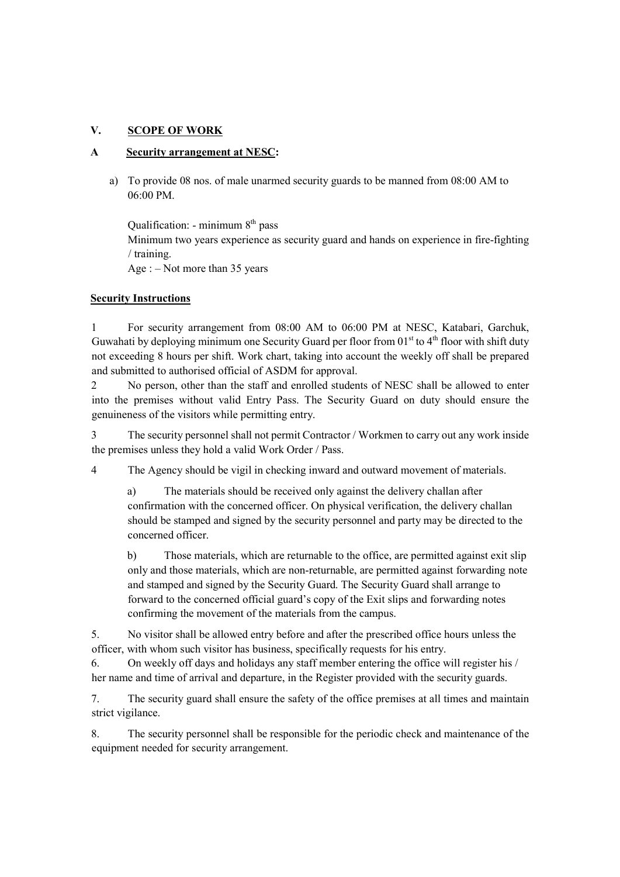# V. SCOPE OF WORK

#### A Security arrangement at NESC:

a) To provide 08 nos. of male unarmed security guards to be manned from 08:00 AM to 06:00 PM.

Qualification: - minimum  $8<sup>th</sup>$  pass Minimum two years experience as security guard and hands on experience in fire-fighting / training. Age : – Not more than 35 years

#### Security Instructions

1 For security arrangement from 08:00 AM to 06:00 PM at NESC, Katabari, Garchuk, Guwahati by deploying minimum one Security Guard per floor from  $01<sup>st</sup>$  to  $4<sup>th</sup>$  floor with shift duty not exceeding 8 hours per shift. Work chart, taking into account the weekly off shall be prepared and submitted to authorised official of ASDM for approval.

2 No person, other than the staff and enrolled students of NESC shall be allowed to enter into the premises without valid Entry Pass. The Security Guard on duty should ensure the genuineness of the visitors while permitting entry.

3 The security personnel shall not permit Contractor / Workmen to carry out any work inside the premises unless they hold a valid Work Order / Pass.

4 The Agency should be vigil in checking inward and outward movement of materials.

a) The materials should be received only against the delivery challan after confirmation with the concerned officer. On physical verification, the delivery challan should be stamped and signed by the security personnel and party may be directed to the concerned officer.

b) Those materials, which are returnable to the office, are permitted against exit slip only and those materials, which are non-returnable, are permitted against forwarding note and stamped and signed by the Security Guard. The Security Guard shall arrange to forward to the concerned official guard's copy of the Exit slips and forwarding notes confirming the movement of the materials from the campus.

5. No visitor shall be allowed entry before and after the prescribed office hours unless the officer, with whom such visitor has business, specifically requests for his entry.

6. On weekly off days and holidays any staff member entering the office will register his / her name and time of arrival and departure, in the Register provided with the security guards.

7. The security guard shall ensure the safety of the office premises at all times and maintain strict vigilance.

8. The security personnel shall be responsible for the periodic check and maintenance of the equipment needed for security arrangement.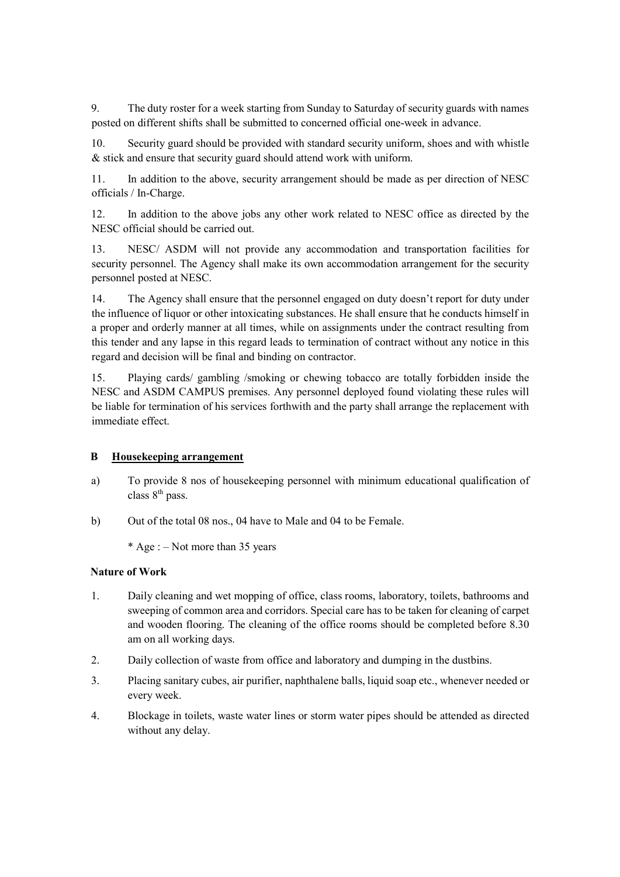9. The duty roster for a week starting from Sunday to Saturday of security guards with names posted on different shifts shall be submitted to concerned official one-week in advance.

10. Security guard should be provided with standard security uniform, shoes and with whistle & stick and ensure that security guard should attend work with uniform.

11. In addition to the above, security arrangement should be made as per direction of NESC officials / In-Charge.

12. In addition to the above jobs any other work related to NESC office as directed by the NESC official should be carried out.

13. NESC/ ASDM will not provide any accommodation and transportation facilities for security personnel. The Agency shall make its own accommodation arrangement for the security personnel posted at NESC.

14. The Agency shall ensure that the personnel engaged on duty doesn't report for duty under the influence of liquor or other intoxicating substances. He shall ensure that he conducts himself in a proper and orderly manner at all times, while on assignments under the contract resulting from this tender and any lapse in this regard leads to termination of contract without any notice in this regard and decision will be final and binding on contractor.

15. Playing cards/ gambling /smoking or chewing tobacco are totally forbidden inside the NESC and ASDM CAMPUS premises. Any personnel deployed found violating these rules will be liable for termination of his services forthwith and the party shall arrange the replacement with immediate effect.

#### B Housekeeping arrangement

- a) To provide 8 nos of housekeeping personnel with minimum educational qualification of class  $8<sup>th</sup>$  pass.
- b) Out of the total 08 nos., 04 have to Male and 04 to be Female.

\* Age :  $-$  Not more than 35 years

#### Nature of Work

- 1. Daily cleaning and wet mopping of office, class rooms, laboratory, toilets, bathrooms and sweeping of common area and corridors. Special care has to be taken for cleaning of carpet and wooden flooring. The cleaning of the office rooms should be completed before 8.30 am on all working days.
- 2. Daily collection of waste from office and laboratory and dumping in the dustbins.
- 3. Placing sanitary cubes, air purifier, naphthalene balls, liquid soap etc., whenever needed or every week.
- 4. Blockage in toilets, waste water lines or storm water pipes should be attended as directed without any delay.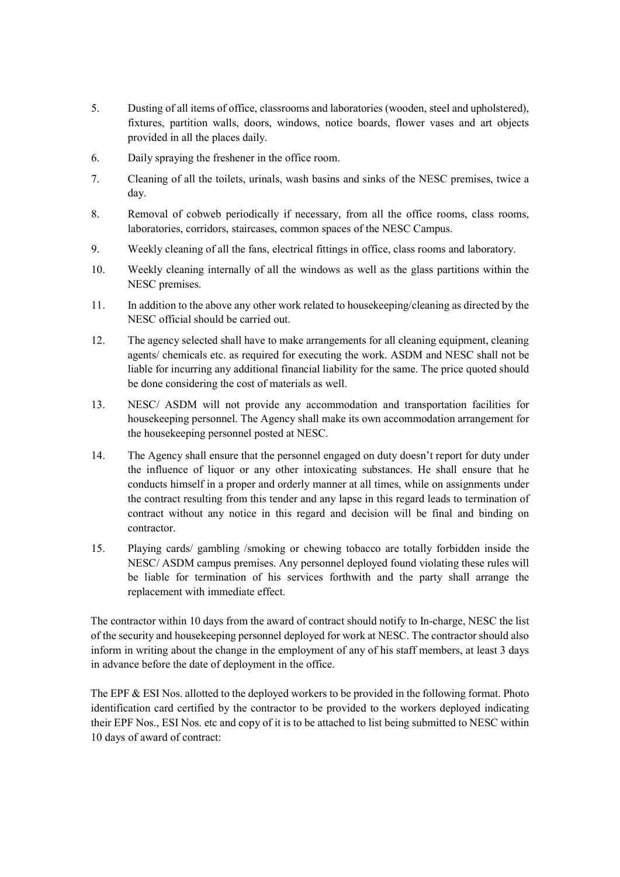- 5. Dusting of all items of office, classrooms and laboratories (wooden, steel and upholstered), fixtures, partition walls, doors, windows, notice boards, flower vases and art objects provided in all the places daily.
- 6. Daily spraying the freshener in the office room.
- 7. Cleaning of all the toilets, urinals, wash basins and sinks of the NESC premises, twice a day.
- 8. Removal of cobweb periodically if necessary, from all the office rooms, class rooms, laboratories, corridors, staircases, common spaces of the NESC Campus.
- 9. Weekly cleaning of all the fans, electrical fittings in office, class rooms and laboratory.
- 10. Weekly cleaning internally of all the windows as well as the glass partitions within the NESC premises.
- 11. In addition to the above any other work related to housekeeping/cleaning as directed by the NESC official should be carried out.
- 12. The agency selected shall have to make arrangements for all cleaning equipment, cleaning agents/ chemicals etc. as required for executing the work. ASDM and NESC shall not be liable for incurring any additional financial liability for the same. The price quoted should be done considering the cost of materials as well.
- 13. NESC/ ASDM will not provide any accommodation and transportation facilities for housekeeping personnel. The Agency shall make its own accommodation arrangement for the housekeeping personnel posted at NESC.
- 14. The Agency shall ensure that the personnel engaged on duty doesn't report for duty under the influence of liquor or any other intoxicating substances. He shall ensure that he conducts himself in a proper and orderly manner at all times, while on assignments under the contract resulting from this tender and any lapse in this regard leads to termination of contract without any notice in this regard and decision will be final and binding on contractor.
- 15. Playing cards/ gambling /smoking or chewing tobacco are totally forbidden inside the NESC/ ASDM campus premises. Any personnel deployed found violating these rules will be liable for termination of his services forthwith and the party shall arrange the replacement with immediate effect.

The contractor within 10 days from the award of contract should notify to In-charge, NESC the list of the security and housekeeping personnel deployed for work at NESC. The contractor should also inform in writing about the change in the employment of any of his staff members, at least 3 days in advance before the date of deployment in the office.

The EPF & ESI Nos. allotted to the deployed workers to be provided in the following format. Photo identification card certified by the contractor to be provided to the workers deployed indicating their EPF Nos., ESI Nos. etc and copy of it is to be attached to list being submitted to NESC within 10 days of award of contract: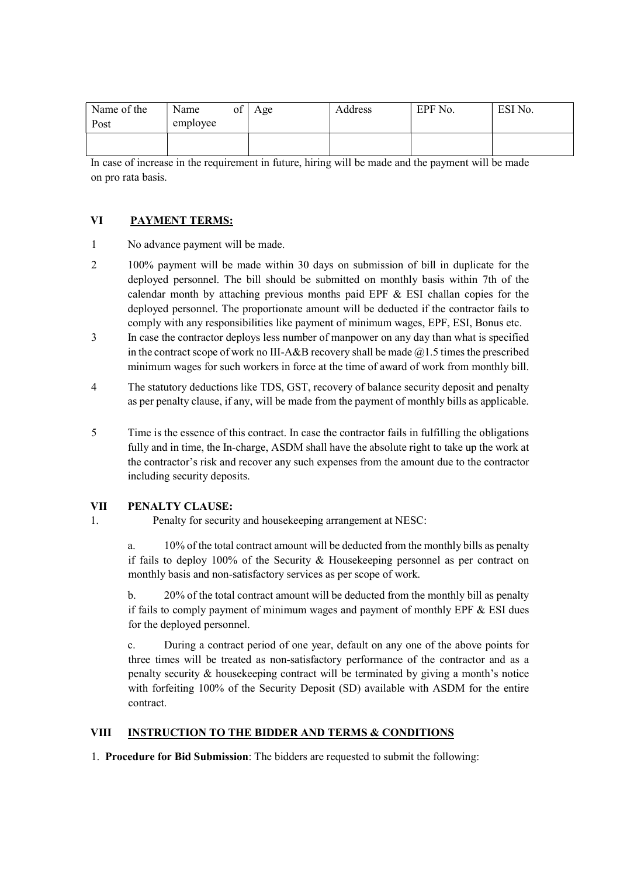| Name of the<br>Post | Name<br>ot<br>employee | Age | Address | EPF No. | ESI No. |
|---------------------|------------------------|-----|---------|---------|---------|
|                     |                        |     |         |         |         |

In case of increase in the requirement in future, hiring will be made and the payment will be made on pro rata basis.

### VI PAYMENT TERMS:

- 1 No advance payment will be made.
- 2 100% payment will be made within 30 days on submission of bill in duplicate for the deployed personnel. The bill should be submitted on monthly basis within 7th of the calendar month by attaching previous months paid EPF & ESI challan copies for the deployed personnel. The proportionate amount will be deducted if the contractor fails to comply with any responsibilities like payment of minimum wages, EPF, ESI, Bonus etc.
- 3 In case the contractor deploys less number of manpower on any day than what is specified in the contract scope of work no III-A&B recovery shall be made  $@1.5$  times the prescribed minimum wages for such workers in force at the time of award of work from monthly bill.
- 4 The statutory deductions like TDS, GST, recovery of balance security deposit and penalty as per penalty clause, if any, will be made from the payment of monthly bills as applicable.
- 5 Time is the essence of this contract. In case the contractor fails in fulfilling the obligations fully and in time, the In-charge, ASDM shall have the absolute right to take up the work at the contractor's risk and recover any such expenses from the amount due to the contractor including security deposits.

#### VII PENALTY CLAUSE:

1. Penalty for security and housekeeping arrangement at NESC:

a. 10% of the total contract amount will be deducted from the monthly bills as penalty if fails to deploy 100% of the Security & Housekeeping personnel as per contract on monthly basis and non-satisfactory services as per scope of work.

b. 20% of the total contract amount will be deducted from the monthly bill as penalty if fails to comply payment of minimum wages and payment of monthly EPF  $&$  ESI dues for the deployed personnel.

c. During a contract period of one year, default on any one of the above points for three times will be treated as non-satisfactory performance of the contractor and as a penalty security & housekeeping contract will be terminated by giving a month's notice with forfeiting 100% of the Security Deposit (SD) available with ASDM for the entire contract.

# VIII INSTRUCTION TO THE BIDDER AND TERMS & CONDITIONS

1. Procedure for Bid Submission: The bidders are requested to submit the following: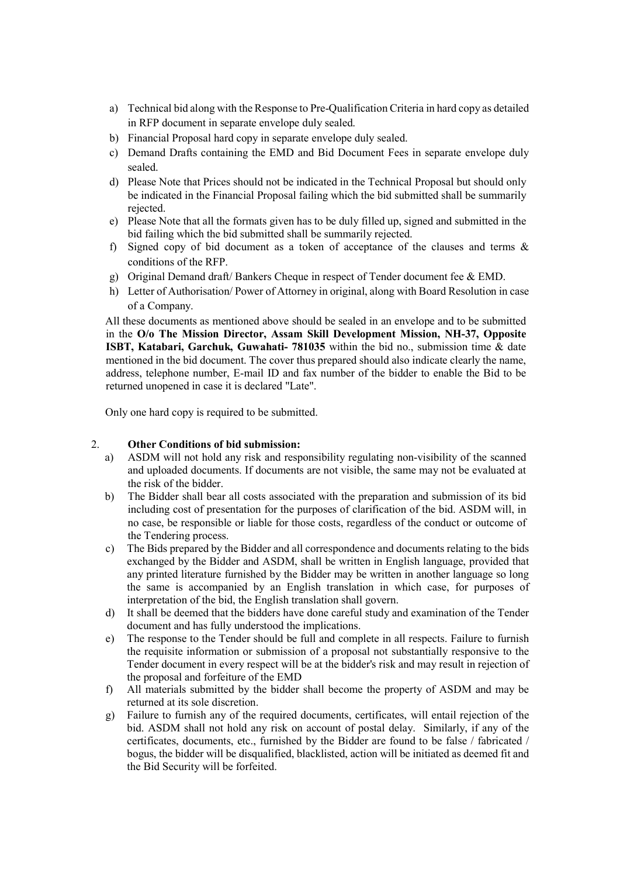- a) Technical bid along with the Response to Pre-Qualification Criteria in hard copy as detailed in RFP document in separate envelope duly sealed.
- b) Financial Proposal hard copy in separate envelope duly sealed.
- c) Demand Drafts containing the EMD and Bid Document Fees in separate envelope duly sealed.
- d) Please Note that Prices should not be indicated in the Technical Proposal but should only be indicated in the Financial Proposal failing which the bid submitted shall be summarily rejected.
- e) Please Note that all the formats given has to be duly filled up, signed and submitted in the bid failing which the bid submitted shall be summarily rejected.
- f) Signed copy of bid document as a token of acceptance of the clauses and terms & conditions of the RFP.
- g) Original Demand draft/ Bankers Cheque in respect of Tender document fee & EMD.
- h) Letter of Authorisation/ Power of Attorney in original, along with Board Resolution in case of a Company.

All these documents as mentioned above should be sealed in an envelope and to be submitted in the O/o The Mission Director, Assam Skill Development Mission, NH-37, Opposite ISBT, Katabari, Garchuk, Guwahati- 781035 within the bid no., submission time & date mentioned in the bid document. The cover thus prepared should also indicate clearly the name, address, telephone number, E-mail ID and fax number of the bidder to enable the Bid to be returned unopened in case it is declared "Late".

Only one hard copy is required to be submitted.

#### 2. Other Conditions of bid submission:

- a) ASDM will not hold any risk and responsibility regulating non-visibility of the scanned and uploaded documents. If documents are not visible, the same may not be evaluated at the risk of the bidder.
- b) The Bidder shall bear all costs associated with the preparation and submission of its bid including cost of presentation for the purposes of clarification of the bid. ASDM will, in no case, be responsible or liable for those costs, regardless of the conduct or outcome of the Tendering process.
- c) The Bids prepared by the Bidder and all correspondence and documents relating to the bids exchanged by the Bidder and ASDM, shall be written in English language, provided that any printed literature furnished by the Bidder may be written in another language so long the same is accompanied by an English translation in which case, for purposes of interpretation of the bid, the English translation shall govern.
- d) It shall be deemed that the bidders have done careful study and examination of the Tender document and has fully understood the implications.
- e) The response to the Tender should be full and complete in all respects. Failure to furnish the requisite information or submission of a proposal not substantially responsive to the Tender document in every respect will be at the bidder's risk and may result in rejection of the proposal and forfeiture of the EMD
- f) All materials submitted by the bidder shall become the property of ASDM and may be returned at its sole discretion.
- g) Failure to furnish any of the required documents, certificates, will entail rejection of the bid. ASDM shall not hold any risk on account of postal delay. Similarly, if any of the certificates, documents, etc., furnished by the Bidder are found to be false / fabricated / bogus, the bidder will be disqualified, blacklisted, action will be initiated as deemed fit and the Bid Security will be forfeited.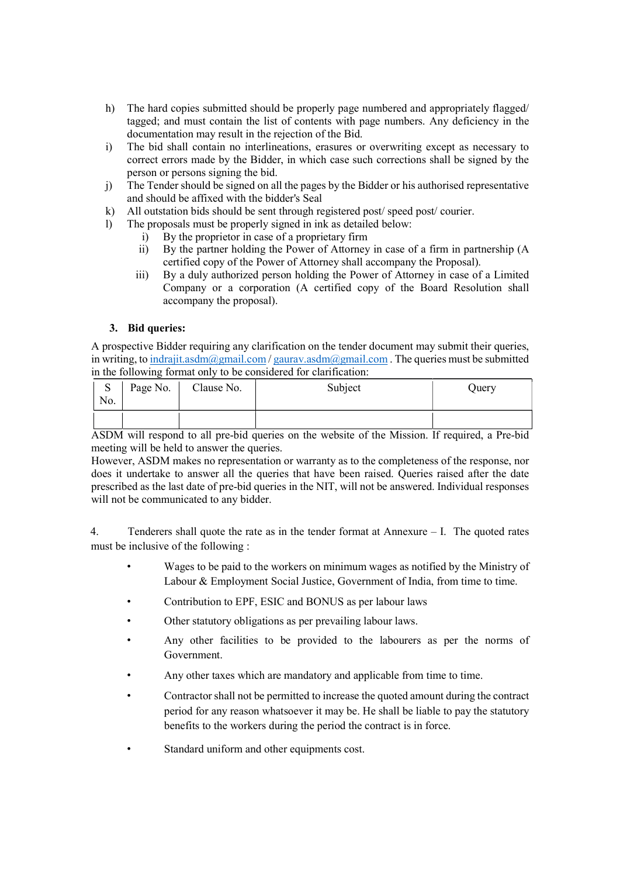- h) The hard copies submitted should be properly page numbered and appropriately flagged/ tagged; and must contain the list of contents with page numbers. Any deficiency in the documentation may result in the rejection of the Bid.
- i) The bid shall contain no interlineations, erasures or overwriting except as necessary to correct errors made by the Bidder, in which case such corrections shall be signed by the person or persons signing the bid.
- j) The Tender should be signed on all the pages by the Bidder or his authorised representative and should be affixed with the bidder's Seal
- k) All outstation bids should be sent through registered post/ speed post/ courier.
- l) The proposals must be properly signed in ink as detailed below:
	- i) By the proprietor in case of a proprietary firm
	- ii) By the partner holding the Power of Attorney in case of a firm in partnership (A certified copy of the Power of Attorney shall accompany the Proposal).
	- iii) By a duly authorized person holding the Power of Attorney in case of a Limited Company or a corporation (A certified copy of the Board Resolution shall accompany the proposal).

### 3. Bid queries:

A prospective Bidder requiring any clarification on the tender document may submit their queries, in writing, to indrajit.asdm@gmail.com / gaurav.asdm@gmail.com . The queries must be submitted in the following format only to be considered for clarification:

| $\sim$<br>D<br>No. | Page No. | Clause No. | Subject | Query |
|--------------------|----------|------------|---------|-------|
|                    |          |            |         |       |

ASDM will respond to all pre-bid queries on the website of the Mission. If required, a Pre-bid meeting will be held to answer the queries.

However, ASDM makes no representation or warranty as to the completeness of the response, nor does it undertake to answer all the queries that have been raised. Queries raised after the date prescribed as the last date of pre-bid queries in the NIT, will not be answered. Individual responses will not be communicated to any bidder.

4. Tenderers shall quote the rate as in the tender format at Annexure – I. The quoted rates must be inclusive of the following :

- Wages to be paid to the workers on minimum wages as notified by the Ministry of Labour & Employment Social Justice, Government of India, from time to time.
- Contribution to EPF, ESIC and BONUS as per labour laws
- Other statutory obligations as per prevailing labour laws.
- Any other facilities to be provided to the labourers as per the norms of Government.
- Any other taxes which are mandatory and applicable from time to time.
- Contractor shall not be permitted to increase the quoted amount during the contract period for any reason whatsoever it may be. He shall be liable to pay the statutory benefits to the workers during the period the contract is in force.
- Standard uniform and other equipments cost.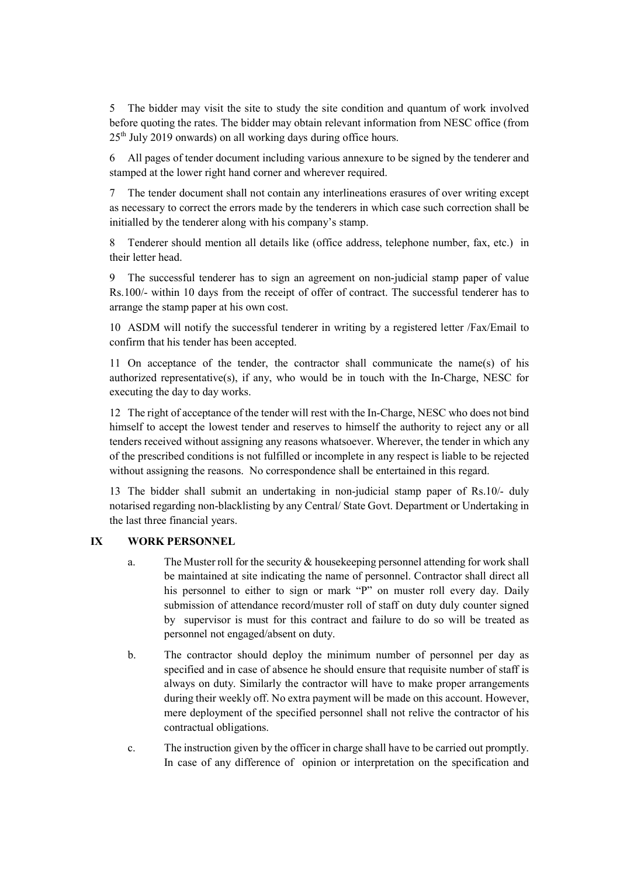5 The bidder may visit the site to study the site condition and quantum of work involved before quoting the rates. The bidder may obtain relevant information from NESC office (from  $25<sup>th</sup>$  July 2019 onwards) on all working days during office hours.

6 All pages of tender document including various annexure to be signed by the tenderer and stamped at the lower right hand corner and wherever required.

7 The tender document shall not contain any interlineations erasures of over writing except as necessary to correct the errors made by the tenderers in which case such correction shall be initialled by the tenderer along with his company's stamp.

8 Tenderer should mention all details like (office address, telephone number, fax, etc.) in their letter head.

9 The successful tenderer has to sign an agreement on non-judicial stamp paper of value Rs.100/- within 10 days from the receipt of offer of contract. The successful tenderer has to arrange the stamp paper at his own cost.

10 ASDM will notify the successful tenderer in writing by a registered letter /Fax/Email to confirm that his tender has been accepted.

11 On acceptance of the tender, the contractor shall communicate the name(s) of his authorized representative(s), if any, who would be in touch with the In-Charge, NESC for executing the day to day works.

12 The right of acceptance of the tender will rest with the In-Charge, NESC who does not bind himself to accept the lowest tender and reserves to himself the authority to reject any or all tenders received without assigning any reasons whatsoever. Wherever, the tender in which any of the prescribed conditions is not fulfilled or incomplete in any respect is liable to be rejected without assigning the reasons. No correspondence shall be entertained in this regard.

13 The bidder shall submit an undertaking in non-judicial stamp paper of Rs.10/- duly notarised regarding non-blacklisting by any Central/ State Govt. Department or Undertaking in the last three financial years.

#### IX WORK PERSONNEL

- a. The Muster roll for the security & housekeeping personnel attending for work shall be maintained at site indicating the name of personnel. Contractor shall direct all his personnel to either to sign or mark "P" on muster roll every day. Daily submission of attendance record/muster roll of staff on duty duly counter signed by supervisor is must for this contract and failure to do so will be treated as personnel not engaged/absent on duty.
- b. The contractor should deploy the minimum number of personnel per day as specified and in case of absence he should ensure that requisite number of staff is always on duty. Similarly the contractor will have to make proper arrangements during their weekly off. No extra payment will be made on this account. However, mere deployment of the specified personnel shall not relive the contractor of his contractual obligations.
- c. The instruction given by the officer in charge shall have to be carried out promptly. In case of any difference of opinion or interpretation on the specification and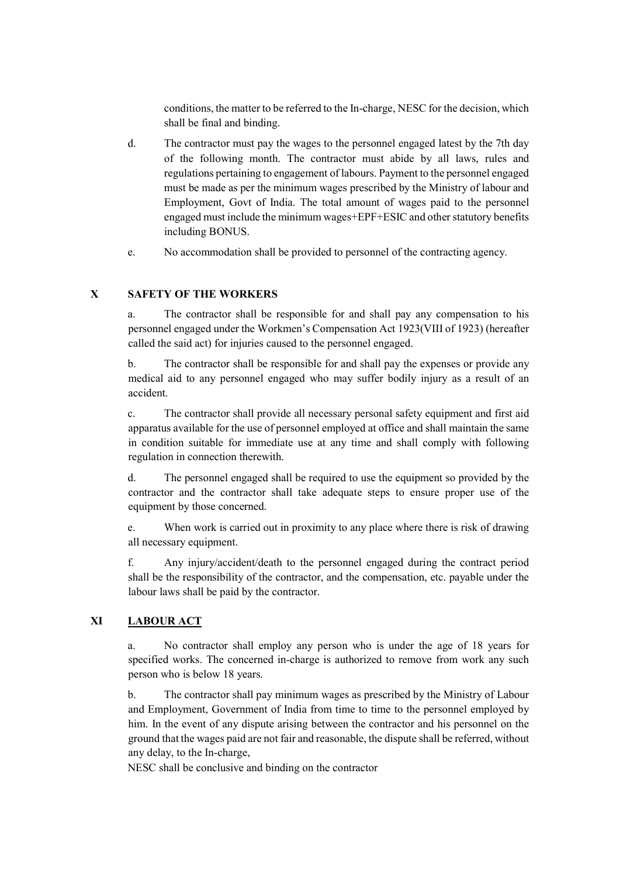conditions, the matter to be referred to the In-charge, NESC for the decision, which shall be final and binding.

- d. The contractor must pay the wages to the personnel engaged latest by the 7th day of the following month. The contractor must abide by all laws, rules and regulations pertaining to engagement of labours. Payment to the personnel engaged must be made as per the minimum wages prescribed by the Ministry of labour and Employment, Govt of India. The total amount of wages paid to the personnel engaged must include the minimum wages+EPF+ESIC and other statutory benefits including BONUS.
- e. No accommodation shall be provided to personnel of the contracting agency.

#### X SAFETY OF THE WORKERS

a. The contractor shall be responsible for and shall pay any compensation to his personnel engaged under the Workmen's Compensation Act 1923(VIII of 1923) (hereafter called the said act) for injuries caused to the personnel engaged.

b. The contractor shall be responsible for and shall pay the expenses or provide any medical aid to any personnel engaged who may suffer bodily injury as a result of an accident.

c. The contractor shall provide all necessary personal safety equipment and first aid apparatus available for the use of personnel employed at office and shall maintain the same in condition suitable for immediate use at any time and shall comply with following regulation in connection therewith.

d. The personnel engaged shall be required to use the equipment so provided by the contractor and the contractor shall take adequate steps to ensure proper use of the equipment by those concerned.

e. When work is carried out in proximity to any place where there is risk of drawing all necessary equipment.

f. Any injury/accident/death to the personnel engaged during the contract period shall be the responsibility of the contractor, and the compensation, etc. payable under the labour laws shall be paid by the contractor.

# XI LABOUR ACT

a. No contractor shall employ any person who is under the age of 18 years for specified works. The concerned in-charge is authorized to remove from work any such person who is below 18 years.

b. The contractor shall pay minimum wages as prescribed by the Ministry of Labour and Employment, Government of India from time to time to the personnel employed by him. In the event of any dispute arising between the contractor and his personnel on the ground that the wages paid are not fair and reasonable, the dispute shall be referred, without any delay, to the In-charge,

NESC shall be conclusive and binding on the contractor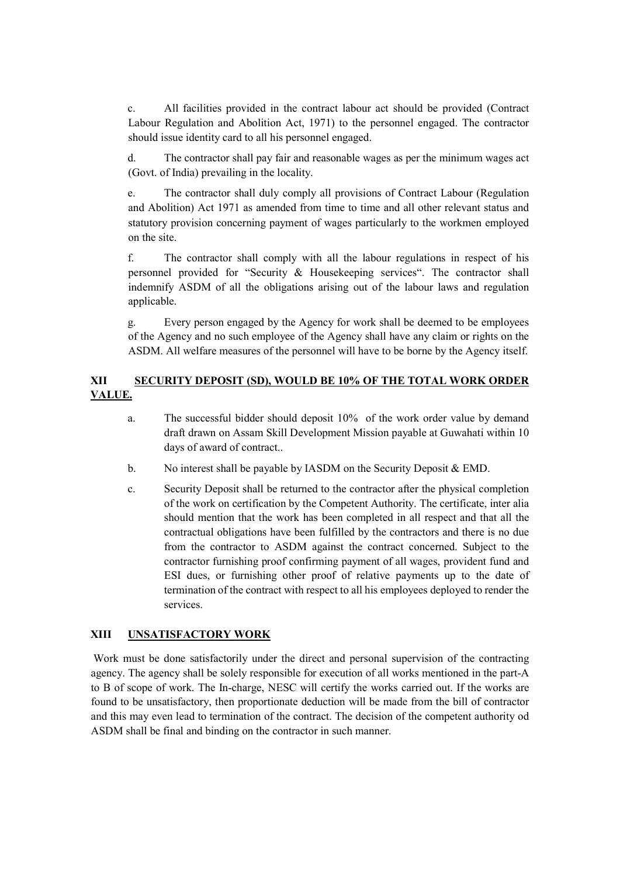c. All facilities provided in the contract labour act should be provided (Contract Labour Regulation and Abolition Act, 1971) to the personnel engaged. The contractor should issue identity card to all his personnel engaged.

d. The contractor shall pay fair and reasonable wages as per the minimum wages act (Govt. of India) prevailing in the locality.

e. The contractor shall duly comply all provisions of Contract Labour (Regulation and Abolition) Act 1971 as amended from time to time and all other relevant status and statutory provision concerning payment of wages particularly to the workmen employed on the site.

f. The contractor shall comply with all the labour regulations in respect of his personnel provided for "Security & Housekeeping services". The contractor shall indemnify ASDM of all the obligations arising out of the labour laws and regulation applicable.

g. Every person engaged by the Agency for work shall be deemed to be employees of the Agency and no such employee of the Agency shall have any claim or rights on the ASDM. All welfare measures of the personnel will have to be borne by the Agency itself.

# XII SECURITY DEPOSIT (SD), WOULD BE 10% OF THE TOTAL WORK ORDER VALUE.

- a. The successful bidder should deposit 10% of the work order value by demand draft drawn on Assam Skill Development Mission payable at Guwahati within 10 days of award of contract..
- b. No interest shall be payable by IASDM on the Security Deposit & EMD.
- c. Security Deposit shall be returned to the contractor after the physical completion of the work on certification by the Competent Authority. The certificate, inter alia should mention that the work has been completed in all respect and that all the contractual obligations have been fulfilled by the contractors and there is no due from the contractor to ASDM against the contract concerned. Subject to the contractor furnishing proof confirming payment of all wages, provident fund and ESI dues, or furnishing other proof of relative payments up to the date of termination of the contract with respect to all his employees deployed to render the services.

#### XIII UNSATISFACTORY WORK

 Work must be done satisfactorily under the direct and personal supervision of the contracting agency. The agency shall be solely responsible for execution of all works mentioned in the part-A to B of scope of work. The In-charge, NESC will certify the works carried out. If the works are found to be unsatisfactory, then proportionate deduction will be made from the bill of contractor and this may even lead to termination of the contract. The decision of the competent authority od ASDM shall be final and binding on the contractor in such manner.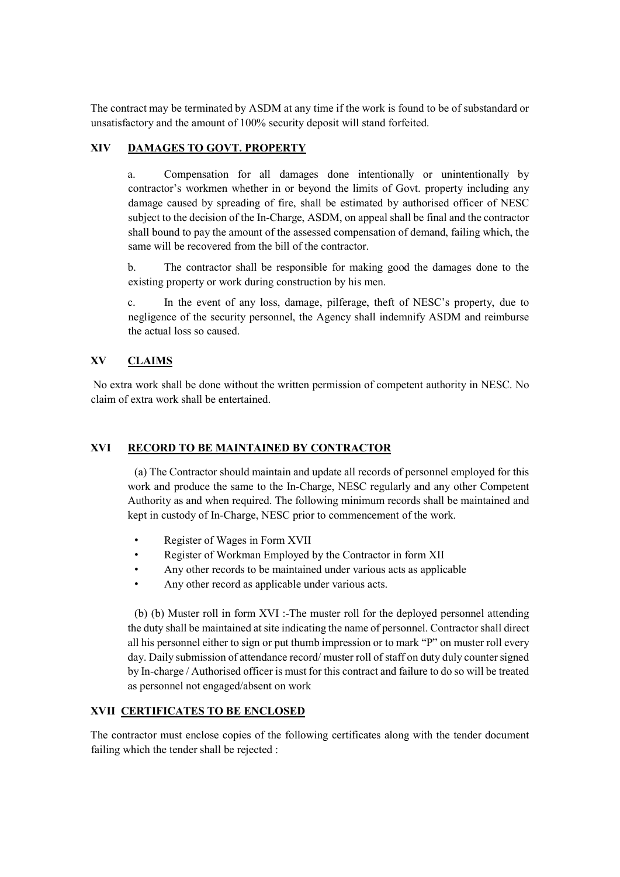The contract may be terminated by ASDM at any time if the work is found to be of substandard or unsatisfactory and the amount of 100% security deposit will stand forfeited.

# XIV DAMAGES TO GOVT. PROPERTY

a. Compensation for all damages done intentionally or unintentionally by contractor's workmen whether in or beyond the limits of Govt. property including any damage caused by spreading of fire, shall be estimated by authorised officer of NESC subject to the decision of the In-Charge, ASDM, on appeal shall be final and the contractor shall bound to pay the amount of the assessed compensation of demand, failing which, the same will be recovered from the bill of the contractor.

b. The contractor shall be responsible for making good the damages done to the existing property or work during construction by his men.

c. In the event of any loss, damage, pilferage, theft of NESC's property, due to negligence of the security personnel, the Agency shall indemnify ASDM and reimburse the actual loss so caused.

### XV CLAIMS

 No extra work shall be done without the written permission of competent authority in NESC. No claim of extra work shall be entertained.

#### XVI RECORD TO BE MAINTAINED BY CONTRACTOR

(a) The Contractor should maintain and update all records of personnel employed for this work and produce the same to the In-Charge, NESC regularly and any other Competent Authority as and when required. The following minimum records shall be maintained and kept in custody of In-Charge, NESC prior to commencement of the work.

- Register of Wages in Form XVII
- Register of Workman Employed by the Contractor in form XII
- Any other records to be maintained under various acts as applicable
- Any other record as applicable under various acts.

(b) (b) Muster roll in form XVI :-The muster roll for the deployed personnel attending the duty shall be maintained at site indicating the name of personnel. Contractor shall direct all his personnel either to sign or put thumb impression or to mark "P" on muster roll every day. Daily submission of attendance record/ muster roll of staff on duty duly counter signed by In-charge / Authorised officer is must for this contract and failure to do so will be treated as personnel not engaged/absent on work

#### XVII CERTIFICATES TO BE ENCLOSED

The contractor must enclose copies of the following certificates along with the tender document failing which the tender shall be rejected :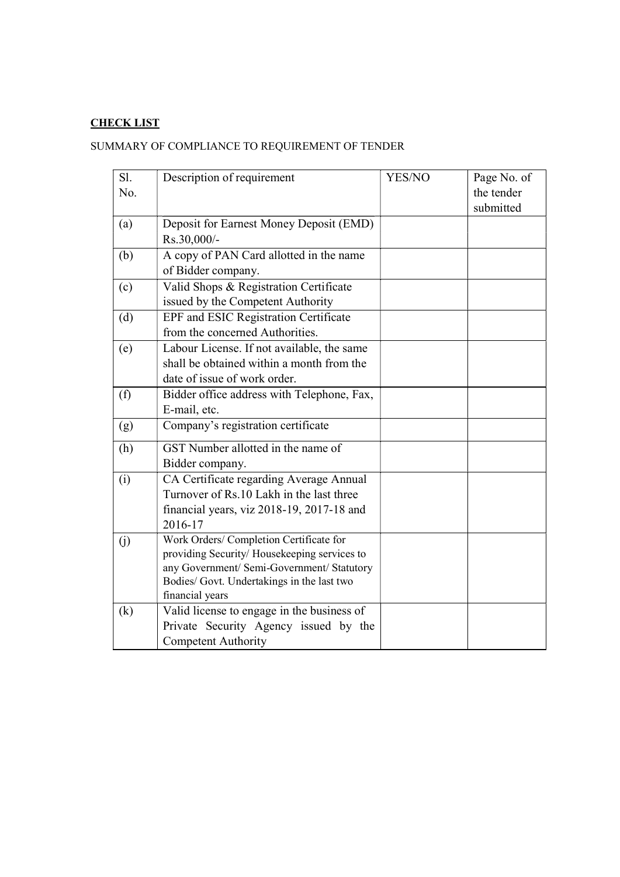# CHECK LIST

# SUMMARY OF COMPLIANCE TO REQUIREMENT OF TENDER

| Sl. | Description of requirement                  | YES/NO | Page No. of |
|-----|---------------------------------------------|--------|-------------|
| No. |                                             |        | the tender  |
|     |                                             |        | submitted   |
| (a) | Deposit for Earnest Money Deposit (EMD)     |        |             |
|     | Rs.30,000/-                                 |        |             |
| (b) | A copy of PAN Card allotted in the name     |        |             |
|     | of Bidder company.                          |        |             |
| (c) | Valid Shops & Registration Certificate      |        |             |
|     | issued by the Competent Authority           |        |             |
| (d) | EPF and ESIC Registration Certificate       |        |             |
|     | from the concerned Authorities.             |        |             |
| (e) | Labour License. If not available, the same  |        |             |
|     | shall be obtained within a month from the   |        |             |
|     | date of issue of work order.                |        |             |
| (f) | Bidder office address with Telephone, Fax,  |        |             |
|     | E-mail, etc.                                |        |             |
| (g) | Company's registration certificate          |        |             |
| (h) | GST Number allotted in the name of          |        |             |
|     | Bidder company.                             |        |             |
| (i) | CA Certificate regarding Average Annual     |        |             |
|     | Turnover of Rs.10 Lakh in the last three    |        |             |
|     | financial years, viz 2018-19, 2017-18 and   |        |             |
|     | 2016-17                                     |        |             |
| (i) | Work Orders/ Completion Certificate for     |        |             |
|     | providing Security/Housekeeping services to |        |             |
|     | any Government/ Semi-Government/ Statutory  |        |             |
|     | Bodies/ Govt. Undertakings in the last two  |        |             |
|     | financial years                             |        |             |
| (k) | Valid license to engage in the business of  |        |             |
|     | Private Security Agency issued by the       |        |             |
|     | <b>Competent Authority</b>                  |        |             |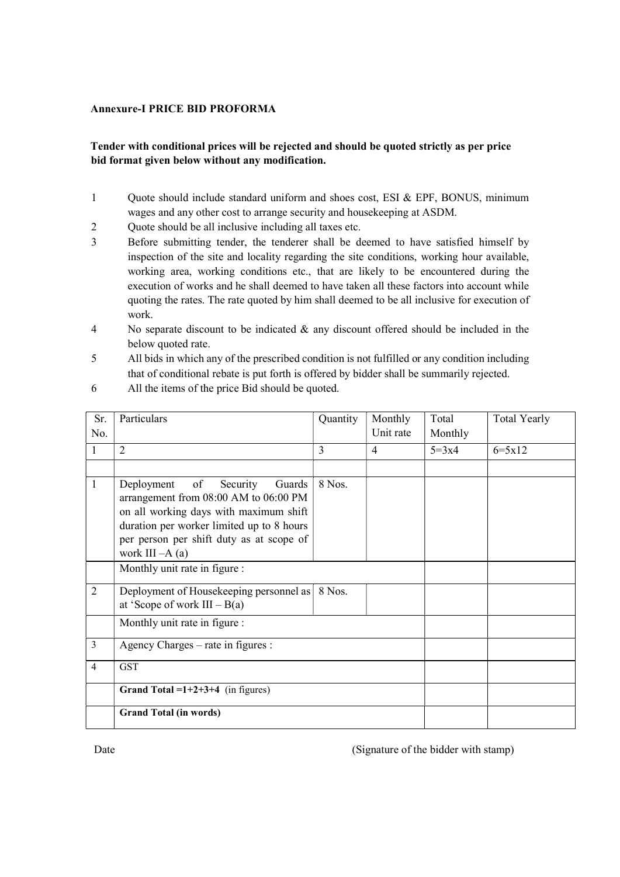#### Annexure-I PRICE BID PROFORMA

# Tender with conditional prices will be rejected and should be quoted strictly as per price bid format given below without any modification.

- 1 Quote should include standard uniform and shoes cost, ESI & EPF, BONUS, minimum wages and any other cost to arrange security and housekeeping at ASDM.
- 2 Quote should be all inclusive including all taxes etc.
- 3 Before submitting tender, the tenderer shall be deemed to have satisfied himself by inspection of the site and locality regarding the site conditions, working hour available, working area, working conditions etc., that are likely to be encountered during the execution of works and he shall deemed to have taken all these factors into account while quoting the rates. The rate quoted by him shall deemed to be all inclusive for execution of work.
- 4 No separate discount to be indicated & any discount offered should be included in the below quoted rate.
- 5 All bids in which any of the prescribed condition is not fulfilled or any condition including that of conditional rebate is put forth is offered by bidder shall be summarily rejected.

| Sr.            | Particulars                                                                                                                                                                                                                            | Quantity | Monthly        | Total     | <b>Total Yearly</b> |  |
|----------------|----------------------------------------------------------------------------------------------------------------------------------------------------------------------------------------------------------------------------------------|----------|----------------|-----------|---------------------|--|
| No.            |                                                                                                                                                                                                                                        |          | Unit rate      | Monthly   |                     |  |
|                | $\overline{2}$                                                                                                                                                                                                                         | 3        | $\overline{4}$ | $5 = 3x4$ | $6 = 5 \times 12$   |  |
|                |                                                                                                                                                                                                                                        |          |                |           |                     |  |
| 1              | of<br>Security<br>Guards<br>Deployment<br>arrangement from 08:00 AM to 06:00 PM<br>on all working days with maximum shift<br>duration per worker limited up to 8 hours<br>per person per shift duty as at scope of<br>work III $-A(a)$ | 8 Nos.   |                |           |                     |  |
|                | Monthly unit rate in figure :                                                                                                                                                                                                          |          |                |           |                     |  |
| $\overline{2}$ | Deployment of Housekeeping personnel as<br>at 'Scope of work $III - B(a)$                                                                                                                                                              |          |                |           |                     |  |
|                | Monthly unit rate in figure :                                                                                                                                                                                                          |          |                |           |                     |  |
| 3              | Agency Charges – rate in figures :                                                                                                                                                                                                     |          |                |           |                     |  |
| $\overline{4}$ | <b>GST</b>                                                                                                                                                                                                                             |          |                |           |                     |  |
|                | Grand Total = $1+2+3+4$ (in figures)                                                                                                                                                                                                   |          |                |           |                     |  |
|                | <b>Grand Total (in words)</b>                                                                                                                                                                                                          |          |                |           |                     |  |

6 All the items of the price Bid should be quoted.

Date (Signature of the bidder with stamp)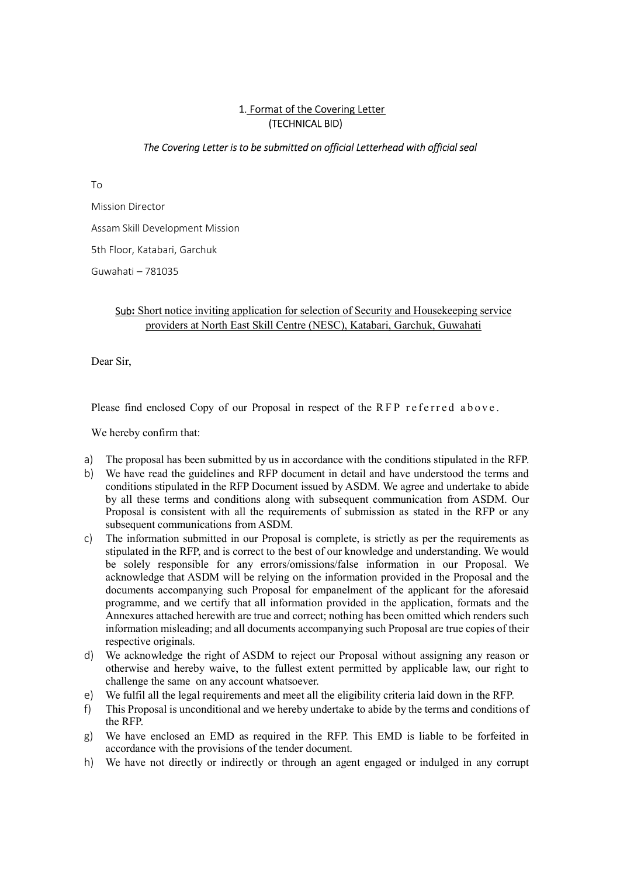### 1. Format of the Covering Letter (TECHNICAL BID)

#### The Covering Letter is to be submitted on official Letterhead with official seal

To

Mission Director Assam Skill Development Mission 5th Floor, Katabari, Garchuk Guwahati – 781035

# Sub: Short notice inviting application for selection of Security and Housekeeping service providers at North East Skill Centre (NESC), Katabari, Garchuk, Guwahati

Dear Sir,

Please find enclosed Copy of our Proposal in respect of the RFP referred above.

We hereby confirm that:

- a) The proposal has been submitted by us in accordance with the conditions stipulated in the RFP.
- b) We have read the guidelines and RFP document in detail and have understood the terms and conditions stipulated in the RFP Document issued by ASDM. We agree and undertake to abide by all these terms and conditions along with subsequent communication from ASDM. Our Proposal is consistent with all the requirements of submission as stated in the RFP or any subsequent communications from ASDM.
- c) The information submitted in our Proposal is complete, is strictly as per the requirements as stipulated in the RFP, and is correct to the best of our knowledge and understanding. We would be solely responsible for any errors/omissions/false information in our Proposal. We acknowledge that ASDM will be relying on the information provided in the Proposal and the documents accompanying such Proposal for empanelment of the applicant for the aforesaid programme, and we certify that all information provided in the application, formats and the Annexures attached herewith are true and correct; nothing has been omitted which renders such information misleading; and all documents accompanying such Proposal are true copies of their respective originals.
- d) We acknowledge the right of ASDM to reject our Proposal without assigning any reason or otherwise and hereby waive, to the fullest extent permitted by applicable law, our right to challenge the same on any account whatsoever.
- e) We fulfil all the legal requirements and meet all the eligibility criteria laid down in the RFP.
- f) This Proposal is unconditional and we hereby undertake to abide by the terms and conditions of the RFP.
- g) We have enclosed an EMD as required in the RFP. This EMD is liable to be forfeited in accordance with the provisions of the tender document.
- h) We have not directly or indirectly or through an agent engaged or indulged in any corrupt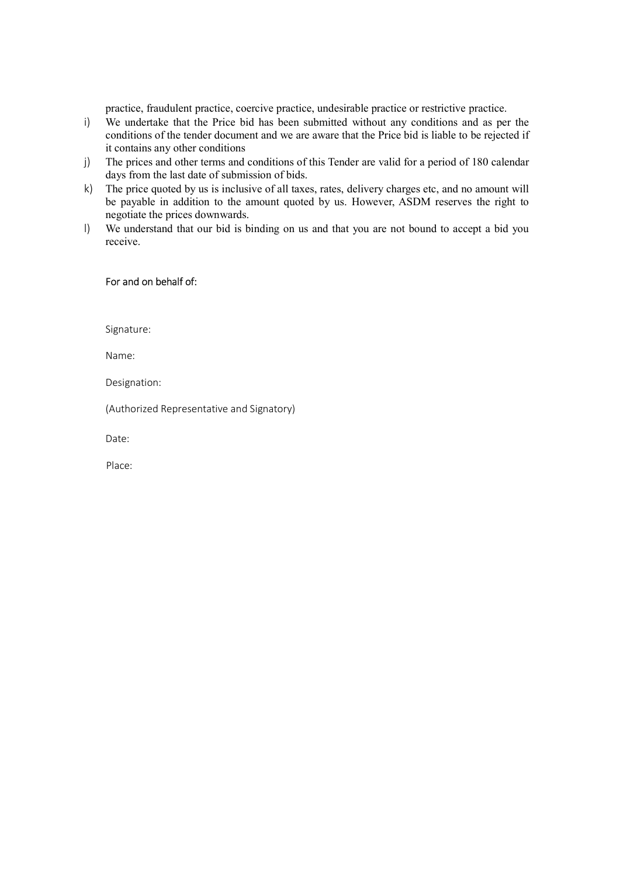practice, fraudulent practice, coercive practice, undesirable practice or restrictive practice.

- i) We undertake that the Price bid has been submitted without any conditions and as per the conditions of the tender document and we are aware that the Price bid is liable to be rejected if it contains any other conditions
- j) The prices and other terms and conditions of this Tender are valid for a period of 180 calendar days from the last date of submission of bids.
- k) The price quoted by us is inclusive of all taxes, rates, delivery charges etc, and no amount will be payable in addition to the amount quoted by us. However, ASDM reserves the right to negotiate the prices downwards.
- l) We understand that our bid is binding on us and that you are not bound to accept a bid you receive.

#### For and on behalf of:

Signature:

Name:

Designation:

(Authorized Representative and Signatory)

Date:

Place: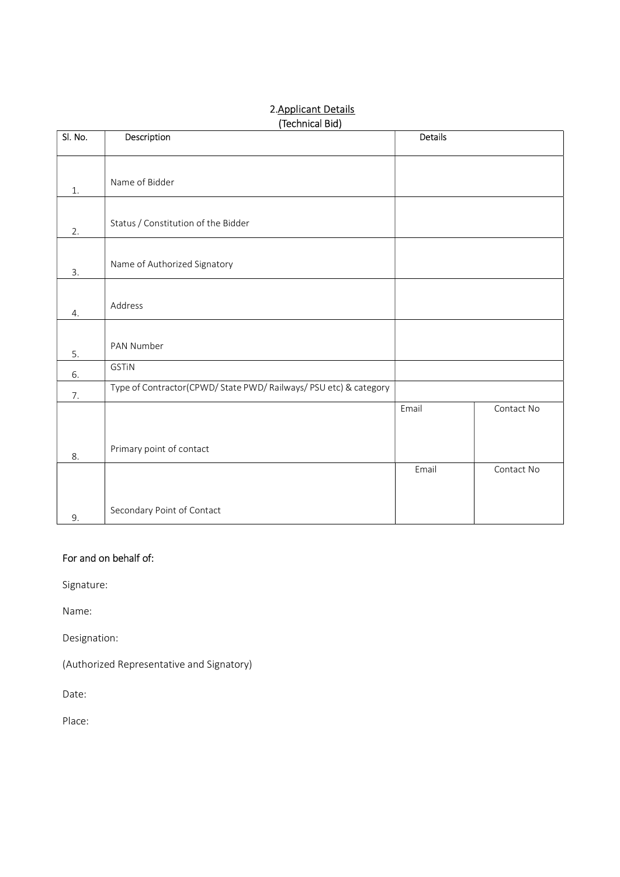# Sl. No. Description Description Details 1. Name of Bidder 2. Status / Constitution of the Bidder 3. Name of Authorized Signatory 4. Address 5. PAN Number 6. GSTiN 7. Type of Contractor(CPWD/ State PWD/ Railways/ PSU etc) & category 8. Primary point of contact Email Contact No 9. Secondary Point of Contact Email Contact No

# 2.Applicant Details (Technical Bid)

# For and on behalf of:

Signature:

Name:

Designation:

(Authorized Representative and Signatory)

Date:

Place: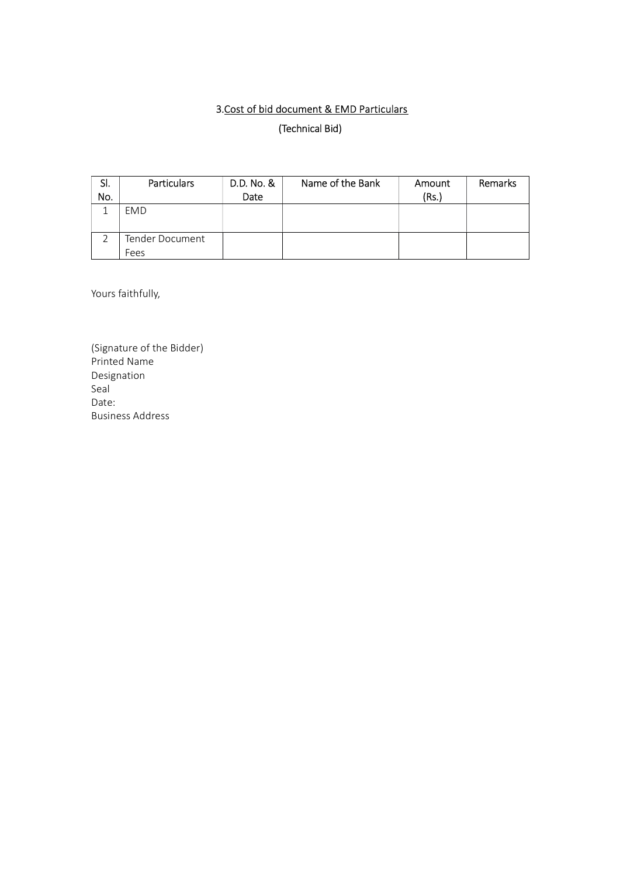# 3.Cost of bid document & EMD Particulars (Technical Bid)

| SI. | <b>Particulars</b> | D.D. No. & | Name of the Bank | Amount | <b>Remarks</b> |
|-----|--------------------|------------|------------------|--------|----------------|
| No. |                    | Date       |                  | (Rs.)  |                |
|     | EMD                |            |                  |        |                |
|     | Tender Document    |            |                  |        |                |
|     | Fees               |            |                  |        |                |

Yours faithfully,

(Signature of the Bidder) Printed Name Designation Seal Date: Business Address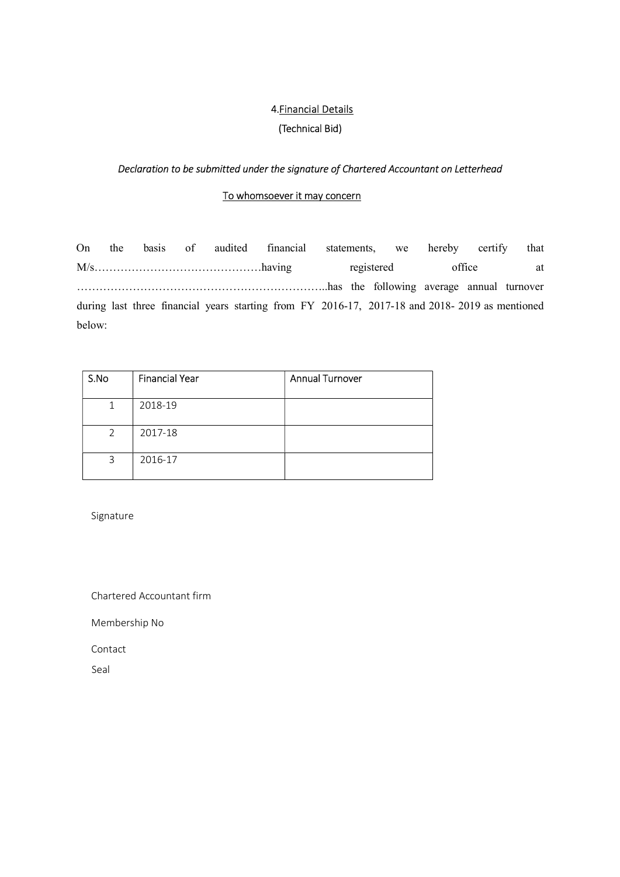# 4.Financial Details

# (Technical Bid)

## Declaration to be submitted under the signature of Chartered Accountant on Letterhead

### To whomsoever it may concern

On the basis of audited financial statements, we hereby certify that M/s………………………………………having registered office at …………………………………………………………..has the following average annual turnover during last three financial years starting from FY 2016-17, 2017-18 and 2018- 2019 as mentioned below:

| S.No | <b>Financial Year</b> | <b>Annual Turnover</b> |
|------|-----------------------|------------------------|
| 1    | 2018-19               |                        |
| 2    | 2017-18               |                        |
| 3    | 2016-17               |                        |

Signature

Chartered Accountant firm

Membership No

Contact

Seal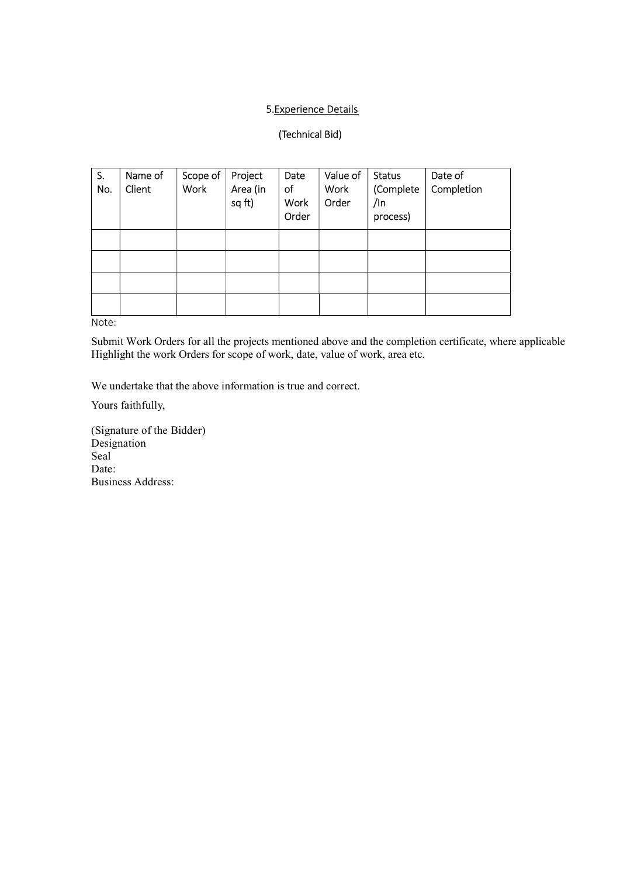## 5.Experience Details

# (Technical Bid)

| S.<br>No. | Name of<br>Client | Scope of<br><b>Work</b> | Project<br>Area (in<br>sq ft) | Date<br>of<br>Work<br>Order | Value of<br>Work<br>Order | <b>Status</b><br>(Complete<br>/In<br>process) | Date of<br>Completion |
|-----------|-------------------|-------------------------|-------------------------------|-----------------------------|---------------------------|-----------------------------------------------|-----------------------|
|           |                   |                         |                               |                             |                           |                                               |                       |
|           |                   |                         |                               |                             |                           |                                               |                       |
|           |                   |                         |                               |                             |                           |                                               |                       |
|           |                   |                         |                               |                             |                           |                                               |                       |

Note:

Submit Work Orders for all the projects mentioned above and the completion certificate, where applicable Highlight the work Orders for scope of work, date, value of work, area etc.

We undertake that the above information is true and correct.

Yours faithfully,

(Signature of the Bidder) Designation Seal Date: Business Address: